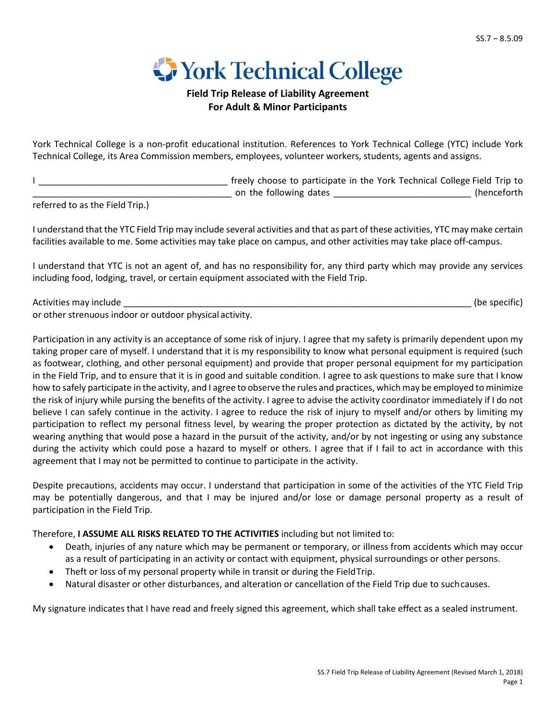

## **Field Trip Release of Liability Agreement For Adult & Minor Participants**

York Technical College is a non-profit educational institution. References to York Technical College (YTC) include York Technical College, its Area Commission members, employees, volunteer workers, students, agents and assigns.

I \_\_\_\_\_\_\_\_\_\_\_\_\_\_\_\_\_\_\_\_\_\_\_\_\_\_\_\_\_\_\_\_\_\_\_\_\_\_ freely choose to participate in the York Technical College Field Trip to on the following dates **Example 2018** (henceforth

referred to as the Field Trip.)

I understand that the YTC Field Trip may include several activities and that as part of these activities, YTC may make certain facilities available to me. Some activities may take place on campus, and other activities may take place off-campus.

I understand that YTC is not an agent of, and has no responsibility for, any third party which may provide any services including food, lodging, travel, or certain equipment associated with the Field Trip.

Activities may include the contract of the state of the state of the state of the specific) and the specific of the specific of the specific of the specific of the specific of the specific of the specific of the specific o or other strenuous indoor or outdoor physical activity.

Participation in any activity is an acceptance of some risk of injury. I agree that my safety is primarily dependent upon my taking proper care of myself. I understand that it is my responsibility to know what personal equipment is required (such as footwear, clothing, and other personal equipment) and provide that proper personal equipment for my participation in the Field Trip, and to ensure that it is in good and suitable condition. I agree to ask questions to make sure that I know how to safely participate in the activity, and I agree to observe the rules and practices, which may be employed to minimize the risk of injury while pursing the benefits of the activity. I agree to advise the activity coordinator immediately if I do not believe I can safely continue in the activity. I agree to reduce the risk of injury to myself and/or others by limiting my participation to reflect my personal fitness level, by wearing the proper protection as dictated by the activity, by not wearing anything that would pose a hazard in the pursuit of the activity, and/or by not ingesting or using any substance during the activity which could pose a hazard to myself or others. I agree that if I fail to act in accordance with this agreement that I may not be permitted to continue to participate in the activity.

Despite precautions, accidents may occur. I understand that participation in some of the activities of the YTC Field Trip may be potentially dangerous, and that I may be injured and/or lose or damage personal property as a result of participation in the Field Trip.

Therefore, **I ASSUME ALL RISKS RELATED TO THE ACTIVITIES** including but not limited to:

- Death, injuries of any nature which may be permanent or temporary, or illness from accidents which may occur as a result of participating in an activity or contact with equipment, physical surroundings or other persons.
- Theft or loss of my personal property while in transit or during the Field Trip.
- Natural disaster or other disturbances, and alteration or cancellation of the Field Trip due to suchcauses.

My signature indicates that I have read and freely signed this agreement, which shall take effect as a sealed instrument.